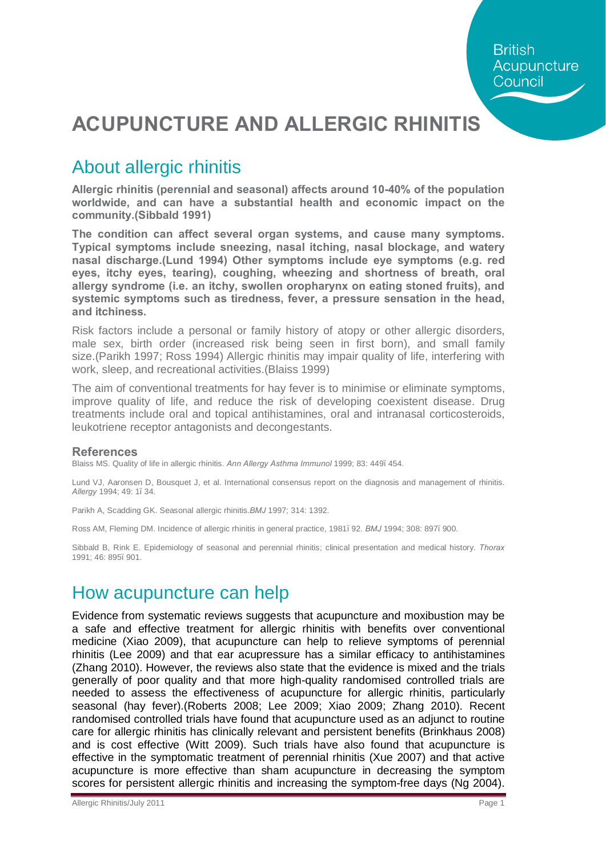# **ACUPUNCTURE AND ALLERGIC RHINITIS**

### About allergic rhinitis

**Allergic rhinitis (perennial and seasonal) affects around 10-40% of the population worldwide, and can have a substantial health and economic impact on the community.(Sibbald 1991)**

**The condition can affect several organ systems, and cause many symptoms. Typical symptoms include sneezing, nasal itching, nasal blockage, and watery nasal discharge.(Lund 1994) Other symptoms include eye symptoms (e.g. red eyes, itchy eyes, tearing), coughing, wheezing and shortness of breath, oral allergy syndrome (i.e. an itchy, swollen oropharynx on eating stoned fruits), and systemic symptoms such as tiredness, fever, a pressure sensation in the head, and itchiness.** 

Risk factors include a personal or family history of atopy or other allergic disorders, male sex, birth order (increased risk being seen in first born), and small family size.(Parikh 1997; Ross 1994) Allergic rhinitis may impair quality of life, interfering with work, sleep, and recreational activities.(Blaiss 1999)

The aim of conventional treatments for hay fever is to minimise or eliminate symptoms, improve quality of life, and reduce the risk of developing coexistent disease. Drug treatments include oral and topical antihistamines, oral and intranasal corticosteroids, leukotriene receptor antagonists and decongestants.

#### **References**

Blaiss MS. Quality of life in allergic rhinitis. *Ann Allergy Asthma Immunol* 1999; 83: 449–454.

Lund VJ, Aaronsen D, Bousquet J, et al. International consensus report on the diagnosis and management of rhinitis. *Allergy* 1994; 49: 1–34.

Parikh A, Scadding GK. Seasonal allergic rhinitis.*BMJ* 1997; 314: 1392.

Ross AM, Fleming DM. Incidence of allergic rhinitis in general practice, 1981. 92. *BMJ* 1994; 308: 897. 900.

Sibbald B, Rink E. Epidemiology of seasonal and perennial rhinitis; clinical presentation and medical history. *Thorax*  1991; 46: 895–901.

### How acupuncture can help

Evidence from systematic reviews suggests that acupuncture and moxibustion may be a safe and effective treatment for allergic rhinitis with benefits over conventional medicine (Xiao 2009), that acupuncture can help to relieve symptoms of perennial rhinitis (Lee 2009) and that ear acupressure has a similar efficacy to antihistamines (Zhang 2010). However, the reviews also state that the evidence is mixed and the trials generally of poor quality and that more high-quality randomised controlled trials are needed to assess the effectiveness of acupuncture for allergic rhinitis, particularly seasonal (hay fever).(Roberts 2008; Lee 2009; Xiao 2009; Zhang 2010). Recent randomised controlled trials have found that acupuncture used as an adjunct to routine care for allergic rhinitis has clinically relevant and persistent benefits (Brinkhaus 2008) and is cost effective (Witt 2009). Such trials have also found that acupuncture is effective in the symptomatic treatment of perennial rhinitis (Xue 2007) and that active acupuncture is more effective than sham acupuncture in decreasing the symptom scores for persistent allergic rhinitis and increasing the symptom-free days (Ng 2004).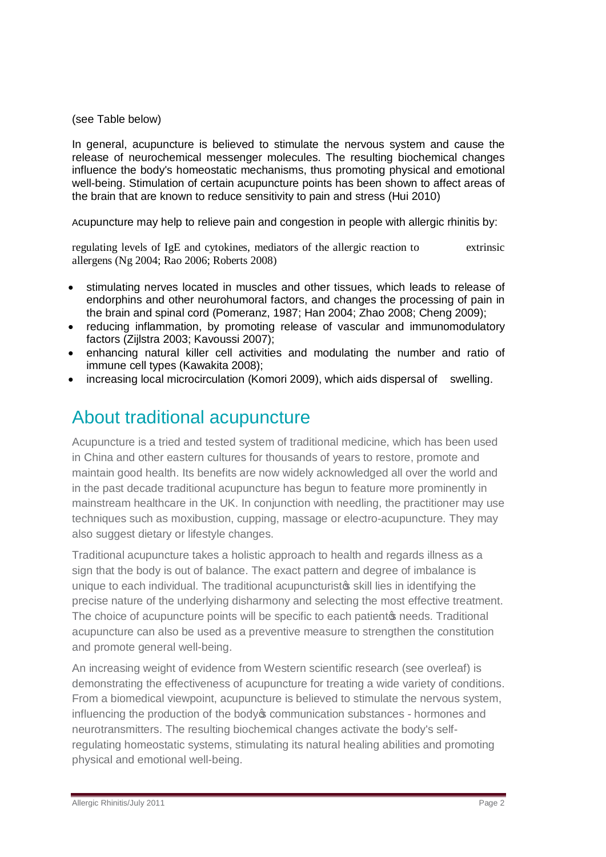#### (see Table below)

In general, acupuncture is believed to stimulate the nervous system and cause the release of neurochemical messenger molecules. The resulting biochemical changes influence the body's homeostatic mechanisms, thus promoting physical and emotional well-being. Stimulation of certain acupuncture points has been shown to affect areas of the brain that are known to reduce sensitivity to pain and stress (Hui 2010)

Acupuncture may help to relieve pain and congestion in people with allergic rhinitis by:

regulating levels of IgE and cytokines, mediators of the allergic reaction to extrinsic allergens (Ng 2004; Rao 2006; Roberts 2008)

- · stimulating nerves located in muscles and other tissues, which leads to release of endorphins and other neurohumoral factors, and changes the processing of pain in the brain and spinal cord (Pomeranz, 1987; Han 2004; Zhao 2008; Cheng 2009);
- · reducing inflammation, by promoting release of vascular and immunomodulatory factors (Zijlstra 2003; Kavoussi 2007);
- · enhancing natural killer cell activities and modulating the number and ratio of immune cell types (Kawakita 2008);
- · increasing local microcirculation (Komori 2009), which aids dispersal of swelling.

### About traditional acupuncture

Acupuncture is a tried and tested system of traditional medicine, which has been used in China and other eastern cultures for thousands of years to restore, promote and maintain good health. Its benefits are now widely acknowledged all over the world and in the past decade traditional acupuncture has begun to feature more prominently in mainstream healthcare in the UK. In conjunction with needling, the practitioner may use techniques such as moxibustion, cupping, massage or electro-acupuncture. They may also suggest dietary or lifestyle changes.

Traditional acupuncture takes a holistic approach to health and regards illness as a sign that the body is out of balance. The exact pattern and degree of imbalance is unique to each individual. The traditional acupuncturist is skill lies in identifying the precise nature of the underlying disharmony and selecting the most effective treatment. The choice of acupuncture points will be specific to each patient oppreds. Traditional acupuncture can also be used as a preventive measure to strengthen the constitution and promote general well-being.

An increasing weight of evidence from Western scientific research (see overleaf) is demonstrating the effectiveness of acupuncture for treating a wide variety of conditions. From a biomedical viewpoint, acupuncture is believed to stimulate the nervous system, influencing the production of the body oper numerication substances - hormones and neurotransmitters. The resulting biochemical changes activate the body's selfregulating homeostatic systems, stimulating its natural healing abilities and promoting physical and emotional well-being.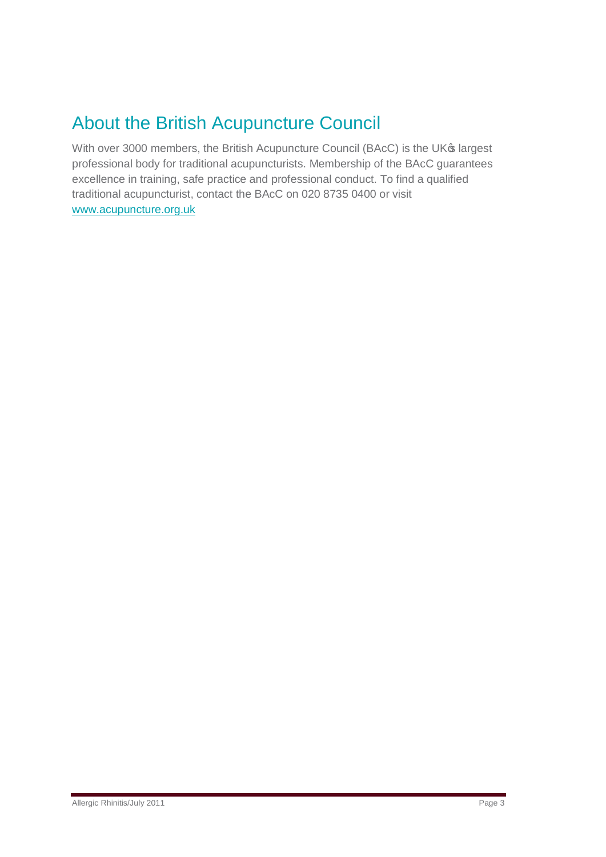## About the British Acupuncture Council

With over 3000 members, the British Acupuncture Council (BAcC) is the UK® largest professional body for traditional acupuncturists. Membership of the BAcC guarantees excellence in training, safe practice and professional conduct. To find a qualified traditional acupuncturist, contact the BAcC on 020 8735 0400 or visit [www.acupuncture.org.uk](http://www.acupuncture.org.uk/)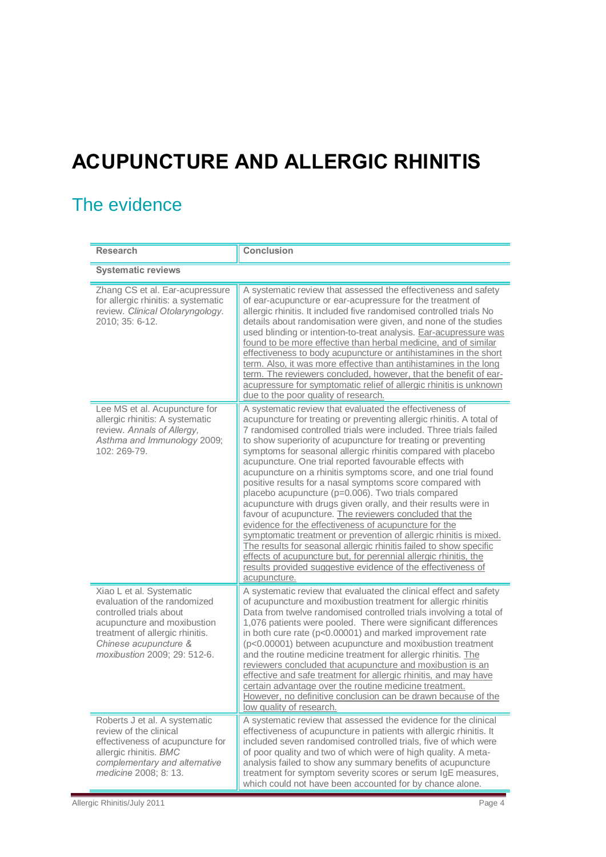# **ACUPUNCTURE AND ALLERGIC RHINITIS**

## The evidence

| <b>Research</b>                                                                                                                                                                                                | <b>Conclusion</b>                                                                                                                                                                                                                                                                                                                                                                                                                                                                                                                                                                                                                                                                                                                                                                                                                                                                                                                                                                                                                                                           |  |
|----------------------------------------------------------------------------------------------------------------------------------------------------------------------------------------------------------------|-----------------------------------------------------------------------------------------------------------------------------------------------------------------------------------------------------------------------------------------------------------------------------------------------------------------------------------------------------------------------------------------------------------------------------------------------------------------------------------------------------------------------------------------------------------------------------------------------------------------------------------------------------------------------------------------------------------------------------------------------------------------------------------------------------------------------------------------------------------------------------------------------------------------------------------------------------------------------------------------------------------------------------------------------------------------------------|--|
| <b>Systematic reviews</b>                                                                                                                                                                                      |                                                                                                                                                                                                                                                                                                                                                                                                                                                                                                                                                                                                                                                                                                                                                                                                                                                                                                                                                                                                                                                                             |  |
| Zhang CS et al. Ear-acupressure<br>for allergic rhinitis: a systematic<br>review. Clinical Otolaryngology.<br>2010; 35: 6-12.                                                                                  | A systematic review that assessed the effectiveness and safety<br>of ear-acupuncture or ear-acupressure for the treatment of<br>allergic rhinitis. It included five randomised controlled trials No<br>details about randomisation were given, and none of the studies<br>used blinding or intention-to-treat analysis. Ear-acupressure was<br>found to be more effective than herbal medicine, and of similar<br>effectiveness to body acupuncture or antihistamines in the short<br>term. Also, it was more effective than antihistamines in the long<br>term. The reviewers concluded, however, that the benefit of ear-<br>acupressure for symptomatic relief of allergic rhinitis is unknown<br>due to the poor quality of research.                                                                                                                                                                                                                                                                                                                                   |  |
| Lee MS et al. Acupuncture for<br>allergic rhinitis: A systematic<br>review. Annals of Allergy,<br>Asthma and Immunology 2009;<br>102: 269-79.                                                                  | A systematic review that evaluated the effectiveness of<br>acupuncture for treating or preventing allergic rhinitis. A total of<br>7 randomised controlled trials were included. Three trials failed<br>to show superiority of acupuncture for treating or preventing<br>symptoms for seasonal allergic rhinitis compared with placebo<br>acupuncture. One trial reported favourable effects with<br>acupuncture on a rhinitis symptoms score, and one trial found<br>positive results for a nasal symptoms score compared with<br>placebo acupuncture (p=0.006). Two trials compared<br>acupuncture with drugs given orally, and their results were in<br>favour of acupuncture. The reviewers concluded that the<br>evidence for the effectiveness of acupuncture for the<br>symptomatic treatment or prevention of allergic rhinitis is mixed.<br>The results for seasonal allergic rhinitis failed to show specific<br>effects of acupuncture but, for perennial allergic rhinitis, the<br>results provided suggestive evidence of the effectiveness of<br>acupuncture. |  |
| Xiao L et al. Systematic<br>evaluation of the randomized<br>controlled trials about<br>acupuncture and moxibustion<br>treatment of allergic rhinitis.<br>Chinese acupuncture &<br>moxibustion 2009; 29: 512-6. | A systematic review that evaluated the clinical effect and safety<br>of acupuncture and moxibustion treatment for allergic rhinitis<br>Data from twelve randomised controlled trials involving a total of<br>1,076 patients were pooled. There were significant differences<br>in both cure rate (p<0.00001) and marked improvement rate<br>(p<0.00001) between acupuncture and moxibustion treatment<br>and the routine medicine treatment for allergic rhinitis. The<br>reviewers concluded that acupuncture and moxibustion is an<br>effective and safe treatment for allergic rhinitis, and may have<br>certain advantage over the routine medicine treatment.<br>However, no definitive conclusion can be drawn because of the<br>low quality of research.                                                                                                                                                                                                                                                                                                             |  |
| Roberts J et al. A systematic<br>review of the clinical<br>effectiveness of acupuncture for<br>allergic rhinitis. BMC<br>complementary and alternative<br>medicine 2008; 8: 13.                                | A systematic review that assessed the evidence for the clinical<br>effectiveness of acupuncture in patients with allergic rhinitis. It<br>included seven randomised controlled trials, five of which were<br>of poor quality and two of which were of high quality. A meta-<br>analysis failed to show any summary benefits of acupuncture<br>treatment for symptom severity scores or serum IgE measures,<br>which could not have been accounted for by chance alone.                                                                                                                                                                                                                                                                                                                                                                                                                                                                                                                                                                                                      |  |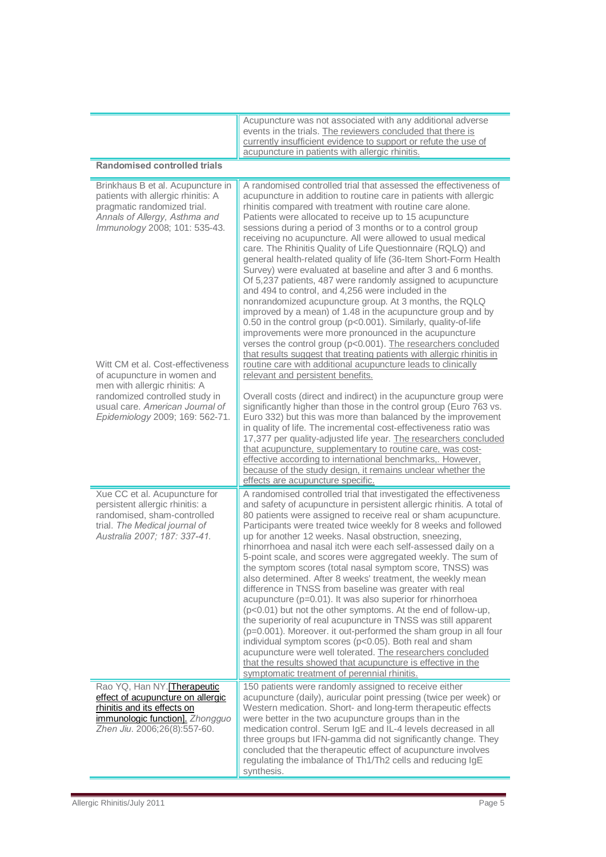|                                                                                                                                                                                                           | Acupuncture was not associated with any additional adverse<br>events in the trials. The reviewers concluded that there is<br>currently insufficient evidence to support or refute the use of<br>acupuncture in patients with allergic rhinitis.                                                                                                                                                                                                                                                                                                                                                                                                                                                                                                                                                                                                                                                                                                                                                                                                                                                                                                                            |  |
|-----------------------------------------------------------------------------------------------------------------------------------------------------------------------------------------------------------|----------------------------------------------------------------------------------------------------------------------------------------------------------------------------------------------------------------------------------------------------------------------------------------------------------------------------------------------------------------------------------------------------------------------------------------------------------------------------------------------------------------------------------------------------------------------------------------------------------------------------------------------------------------------------------------------------------------------------------------------------------------------------------------------------------------------------------------------------------------------------------------------------------------------------------------------------------------------------------------------------------------------------------------------------------------------------------------------------------------------------------------------------------------------------|--|
| <b>Randomised controlled trials</b>                                                                                                                                                                       |                                                                                                                                                                                                                                                                                                                                                                                                                                                                                                                                                                                                                                                                                                                                                                                                                                                                                                                                                                                                                                                                                                                                                                            |  |
| Brinkhaus B et al. Acupuncture in<br>patients with allergic rhinitis: A<br>pragmatic randomized trial.<br>Annals of Allergy, Asthma and<br>Immunology 2008; 101: 535-43.                                  | A randomised controlled trial that assessed the effectiveness of<br>acupuncture in addition to routine care in patients with allergic<br>rhinitis compared with treatment with routine care alone.<br>Patients were allocated to receive up to 15 acupuncture<br>sessions during a period of 3 months or to a control group<br>receiving no acupuncture. All were allowed to usual medical<br>care. The Rhinitis Quality of Life Questionnaire (RQLQ) and<br>general health-related quality of life (36-Item Short-Form Health<br>Survey) were evaluated at baseline and after 3 and 6 months.<br>Of 5,237 patients, 487 were randomly assigned to acupuncture<br>and 494 to control, and 4,256 were included in the<br>nonrandomized acupuncture group. At 3 months, the RQLQ<br>improved by a mean) of 1.48 in the acupuncture group and by<br>0.50 in the control group (p<0.001). Similarly, quality-of-life<br>improvements were more pronounced in the acupuncture<br>verses the control group (p<0.001). The researchers concluded                                                                                                                                  |  |
| Witt CM et al. Cost-effectiveness<br>of acupuncture in women and<br>men with allergic rhinitis: A<br>randomized controlled study in<br>usual care. American Journal of<br>Epidemiology 2009; 169: 562-71. | that results suggest that treating patients with allergic rhinitis in<br>routine care with additional acupuncture leads to clinically<br>relevant and persistent benefits.<br>Overall costs (direct and indirect) in the acupuncture group were<br>significantly higher than those in the control group (Euro 763 vs.<br>Euro 332) but this was more than balanced by the improvement<br>in quality of life. The incremental cost-effectiveness ratio was<br>17,377 per quality-adjusted life year. The researchers concluded<br>that acupuncture, supplementary to routine care, was cost-<br>effective according to international benchmarks,. However,<br>because of the study design, it remains unclear whether the<br>effects are acupuncture specific.                                                                                                                                                                                                                                                                                                                                                                                                              |  |
| Xue CC et al. Acupuncture for<br>persistent allergic rhinitis: a<br>randomised, sham-controlled<br>trial. The Medical journal of<br>Australia 2007; 187: 337-41.                                          | A randomised controlled trial that investigated the effectiveness<br>and safety of acupuncture in persistent allergic rhinitis. A total of<br>80 patients were assigned to receive real or sham acupuncture.<br>Participants were treated twice weekly for 8 weeks and followed<br>up for another 12 weeks. Nasal obstruction, sneezing,<br>rhinorrhoea and nasal itch were each self-assessed daily on a<br>5-point scale, and scores were aggregated weekly. The sum of<br>the symptom scores (total nasal symptom score, TNSS) was<br>also determined. After 8 weeks' treatment, the weekly mean<br>difference in TNSS from baseline was greater with real<br>acupuncture (p=0.01). It was also superior for rhinorrhoea<br>(p<0.01) but not the other symptoms. At the end of follow-up,<br>the superiority of real acupuncture in TNSS was still apparent<br>(p=0.001). Moreover. it out-performed the sham group in all four<br>individual symptom scores (p<0.05). Both real and sham<br>acupuncture were well tolerated. The researchers concluded<br>that the results showed that acupuncture is effective in the<br>symptomatic treatment of perennial rhinitis. |  |
| Rao YQ, Han NY.[Therapeutic<br>effect of acupuncture on allergic<br>rhinitis and its effects on<br>immunologic function]. Zhongguo<br>Zhen Jiu. 2006;26(8):557-60.                                        | 150 patients were randomly assigned to receive either<br>acupuncture (daily), auricular point pressing (twice per week) or<br>Western medication. Short- and long-term therapeutic effects<br>were better in the two acupuncture groups than in the<br>medication control. Serum IgE and IL-4 levels decreased in all<br>three groups but IFN-gamma did not significantly change. They<br>concluded that the therapeutic effect of acupuncture involves<br>regulating the imbalance of Th1/Th2 cells and reducing IgE<br>synthesis.                                                                                                                                                                                                                                                                                                                                                                                                                                                                                                                                                                                                                                        |  |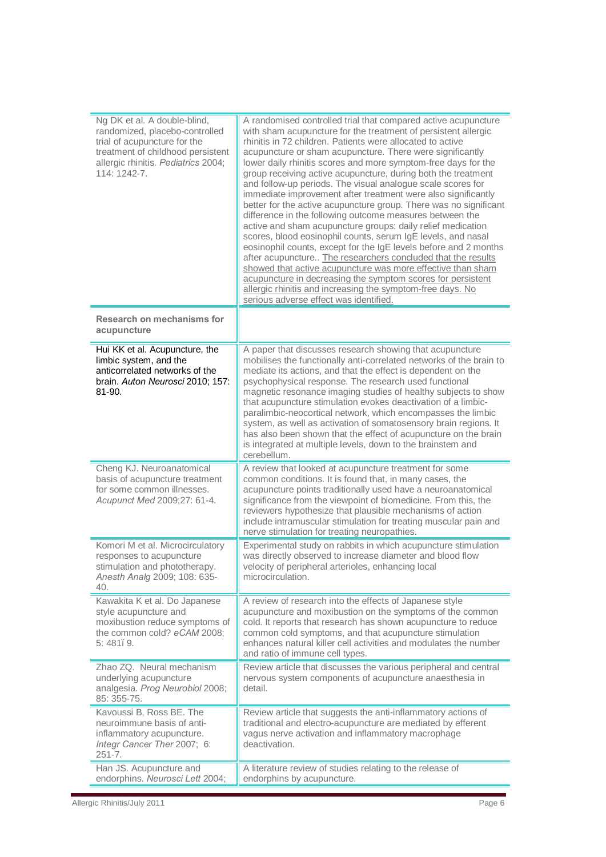| Ng DK et al. A double-blind,<br>randomized, placebo-controlled<br>trial of acupuncture for the<br>treatment of childhood persistent<br>allergic rhinitis. Pediatrics 2004;<br>114: 1242-7. | A randomised controlled trial that compared active acupuncture<br>with sham acupuncture for the treatment of persistent allergic<br>rhinitis in 72 children. Patients were allocated to active<br>acupuncture or sham acupuncture. There were significantly<br>lower daily rhinitis scores and more symptom-free days for the<br>group receiving active acupuncture, during both the treatment<br>and follow-up periods. The visual analogue scale scores for<br>immediate improvement after treatment were also significantly<br>better for the active acupuncture group. There was no significant<br>difference in the following outcome measures between the<br>active and sham acupuncture groups: daily relief medication<br>scores, blood eosinophil counts, serum IgE levels, and nasal<br>eosinophil counts, except for the IgE levels before and 2 months<br>after acupuncture The researchers concluded that the results<br>showed that active acupuncture was more effective than sham<br>acupuncture in decreasing the symptom scores for persistent<br>allergic rhinitis and increasing the symptom-free days. No<br>serious adverse effect was identified. |
|--------------------------------------------------------------------------------------------------------------------------------------------------------------------------------------------|--------------------------------------------------------------------------------------------------------------------------------------------------------------------------------------------------------------------------------------------------------------------------------------------------------------------------------------------------------------------------------------------------------------------------------------------------------------------------------------------------------------------------------------------------------------------------------------------------------------------------------------------------------------------------------------------------------------------------------------------------------------------------------------------------------------------------------------------------------------------------------------------------------------------------------------------------------------------------------------------------------------------------------------------------------------------------------------------------------------------------------------------------------------------------|
| Research on mechanisms for<br>acupuncture                                                                                                                                                  |                                                                                                                                                                                                                                                                                                                                                                                                                                                                                                                                                                                                                                                                                                                                                                                                                                                                                                                                                                                                                                                                                                                                                                          |
| Hui KK et al. Acupuncture, the<br>limbic system, and the<br>anticorrelated networks of the<br>brain. Auton Neurosci 2010; 157:<br>81-90.                                                   | A paper that discusses research showing that acupuncture<br>mobilises the functionally anti-correlated networks of the brain to<br>mediate its actions, and that the effect is dependent on the<br>psychophysical response. The research used functional<br>magnetic resonance imaging studies of healthy subjects to show<br>that acupuncture stimulation evokes deactivation of a limbic-<br>paralimbic-neocortical network, which encompasses the limbic<br>system, as well as activation of somatosensory brain regions. It<br>has also been shown that the effect of acupuncture on the brain<br>is integrated at multiple levels, down to the brainstem and<br>cerebellum.                                                                                                                                                                                                                                                                                                                                                                                                                                                                                         |
| Cheng KJ. Neuroanatomical<br>basis of acupuncture treatment<br>for some common illnesses.<br>Acupunct Med 2009;27: 61-4.                                                                   | A review that looked at acupuncture treatment for some<br>common conditions. It is found that, in many cases, the<br>acupuncture points traditionally used have a neuroanatomical<br>significance from the viewpoint of biomedicine. From this, the<br>reviewers hypothesize that plausible mechanisms of action<br>include intramuscular stimulation for treating muscular pain and<br>nerve stimulation for treating neuropathies.                                                                                                                                                                                                                                                                                                                                                                                                                                                                                                                                                                                                                                                                                                                                     |
| Komori M et al. Microcirculatory<br>responses to acupuncture<br>stimulation and phototherapy.<br>Anesth Analg 2009; 108: 635-<br>40.                                                       | Experimental study on rabbits in which acupuncture stimulation<br>was directly observed to increase diameter and blood flow<br>velocity of peripheral arterioles, enhancing local<br>microcirculation.                                                                                                                                                                                                                                                                                                                                                                                                                                                                                                                                                                                                                                                                                                                                                                                                                                                                                                                                                                   |
| Kawakita K et al. Do Japanese<br>style acupuncture and<br>moxibustion reduce symptoms of<br>the common cold? eCAM 2008;<br>5:481.9.                                                        | A review of research into the effects of Japanese style<br>acupuncture and moxibustion on the symptoms of the common<br>cold. It reports that research has shown acupuncture to reduce<br>common cold symptoms, and that acupuncture stimulation<br>enhances natural killer cell activities and modulates the number<br>and ratio of immune cell types.                                                                                                                                                                                                                                                                                                                                                                                                                                                                                                                                                                                                                                                                                                                                                                                                                  |
| Zhao ZQ. Neural mechanism<br>underlying acupuncture<br>analgesia. Prog Neurobiol 2008;<br>85: 355-75.                                                                                      | Review article that discusses the various peripheral and central<br>nervous system components of acupuncture anaesthesia in<br>detail.                                                                                                                                                                                                                                                                                                                                                                                                                                                                                                                                                                                                                                                                                                                                                                                                                                                                                                                                                                                                                                   |
| Kavoussi B, Ross BE. The<br>neuroimmune basis of anti-<br>inflammatory acupuncture.<br>Integr Cancer Ther 2007; 6:<br>$251 - 7.$                                                           | Review article that suggests the anti-inflammatory actions of<br>traditional and electro-acupuncture are mediated by efferent<br>vagus nerve activation and inflammatory macrophage<br>deactivation.                                                                                                                                                                                                                                                                                                                                                                                                                                                                                                                                                                                                                                                                                                                                                                                                                                                                                                                                                                     |
| Han JS. Acupuncture and<br>endorphins. Neurosci Lett 2004;                                                                                                                                 | A literature review of studies relating to the release of<br>endorphins by acupuncture.                                                                                                                                                                                                                                                                                                                                                                                                                                                                                                                                                                                                                                                                                                                                                                                                                                                                                                                                                                                                                                                                                  |